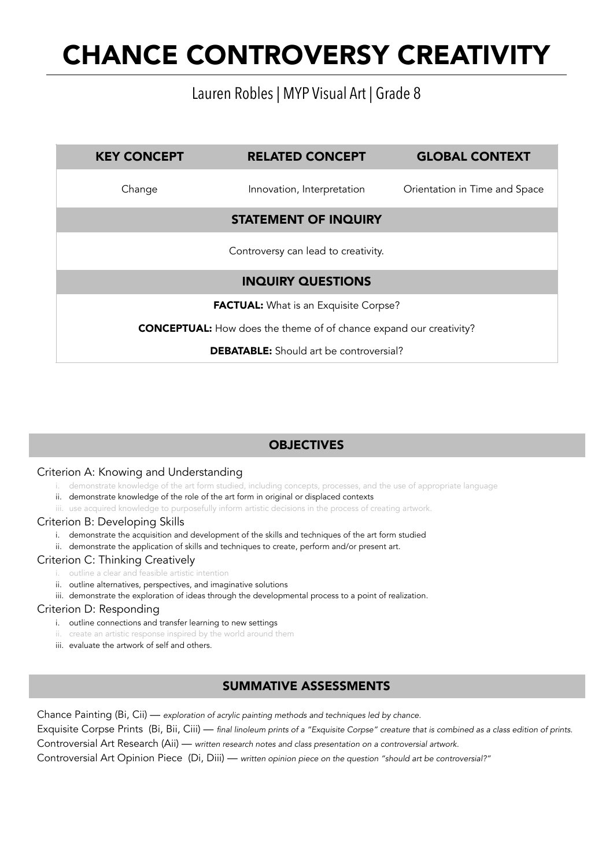## Lauren Robles | MYP Visual Art | Grade 8

| <b>KEY CONCEPT</b>                                                        | <b>RELATED CONCEPT</b>      | <b>GLOBAL CONTEXT</b>         |  |  |
|---------------------------------------------------------------------------|-----------------------------|-------------------------------|--|--|
| Change                                                                    | Innovation, Interpretation  | Orientation in Time and Space |  |  |
|                                                                           | <b>STATEMENT OF INQUIRY</b> |                               |  |  |
| Controversy can lead to creativity.                                       |                             |                               |  |  |
| <b>INQUIRY QUESTIONS</b>                                                  |                             |                               |  |  |
| <b>FACTUAL:</b> What is an Exquisite Corpse?                              |                             |                               |  |  |
| <b>CONCEPTUAL:</b> How does the theme of of chance expand our creativity? |                             |                               |  |  |
| <b>DEBATABLE:</b> Should art be controversial?                            |                             |                               |  |  |
|                                                                           |                             |                               |  |  |

### **OBJECTIVES**

#### Criterion A: Knowing and Understanding

- demonstrate knowledge of the art form studied, including concepts, processes, and the use of appropriate language
- ii. demonstrate knowledge of the role of the art form in original or displaced contexts
- iii. use acquired knowledge to purposefully inform artistic decisions in the process of creating artwork.

#### Criterion B: Developing Skills

- i. demonstrate the acquisition and development of the skills and techniques of the art form studied
- ii. demonstrate the application of skills and techniques to create, perform and/or present art.

#### Criterion C: Thinking Creatively

- i. outline a clear and feasible artistic intention
- ii. outline alternatives, perspectives, and imaginative solutions
- iii. demonstrate the exploration of ideas through the developmental process to a point of realization.

#### Criterion D: Responding

- i. outline connections and transfer learning to new settings
- ii. create an artistic response inspired by the world around them
- iii. evaluate the artwork of self and others.

### SUMMATIVE ASSESSMENTS

Chance Painting (Bi, Cii) — *exploration of acrylic painting methods and techniques led by chance.* 

Exquisite Corpse Prints (Bi, Bii, Ciii) — *final linoleum prints of a "Exquisite Corpse" creature that is combined as a class edition of prints.* Controversial Art Research (Aii) — *written research notes and class presentation on a controversial artwork.* 

Controversial Art Opinion Piece (Di, Diii) — *written opinion piece on the question "should art be controversial?"*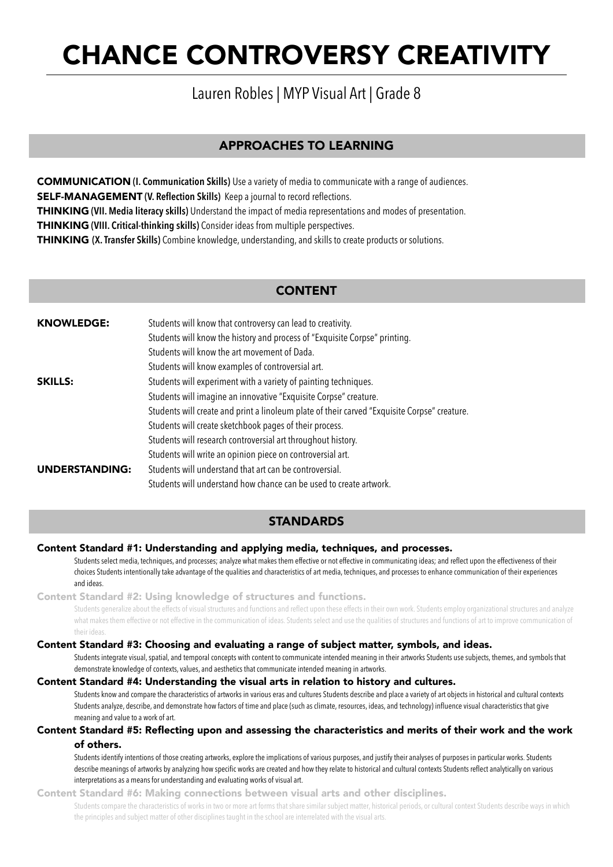## Lauren Robles | MYP Visual Art | Grade 8

### APPROACHES TO LEARNING

COMMUNICATION **(I. Communication Skills)** Use a variety of media to communicate with a range of audiences. SELF-MANAGEMENT **(V. Reflection Skills)** Keep a journal to record reflections. THINKING **(VII. Media literacy skills)** Understand the impact of media representations and modes of presentation. THINKING **(VIII. Critical-thinking skills)** Consider ideas from multiple perspectives. THINKING **(X. Transfer Skills)** Combine knowledge, understanding, and skills to create products or solutions.

#### CONTENT

| <b>KNOWLEDGE:</b>     | Students will know that controversy can lead to creativity.                                  |  |  |
|-----------------------|----------------------------------------------------------------------------------------------|--|--|
|                       | Students will know the history and process of "Exquisite Corpse" printing.                   |  |  |
|                       | Students will know the art movement of Dada.                                                 |  |  |
|                       | Students will know examples of controversial art.                                            |  |  |
| <b>SKILLS:</b>        | Students will experiment with a variety of painting techniques.                              |  |  |
|                       | Students will imagine an innovative "Exquisite Corpse" creature.                             |  |  |
|                       | Students will create and print a linoleum plate of their carved "Exquisite Corpse" creature. |  |  |
|                       | Students will create sketchbook pages of their process.                                      |  |  |
|                       | Students will research controversial art throughout history.                                 |  |  |
|                       | Students will write an opinion piece on controversial art.                                   |  |  |
| <b>UNDERSTANDING:</b> | Students will understand that art can be controversial.                                      |  |  |
|                       | Students will understand how chance can be used to create artwork.                           |  |  |

#### **STANDARDS**

#### Content Standard #1: Understanding and applying media, techniques, and processes.

 Students select media, techniques, and processes; analyze what makes them effective or not effective in communicating ideas; and reflect upon the effectiveness of their choices Students intentionally take advantage of the qualities and characteristics of art media, techniques, and processes to enhance communication of their experiences and ideas.

Content Standard #2: Using knowledge of structures and functions.

 Students generalize about the effects of visual structures and functions and reflect upon these effects in their own work. Students employ organizational structures and analyze what makes them effective or not effective in the communication of ideas. Students select and use the qualities of structures and functions of art to improve communication of their ideas.

#### Content Standard #3: Choosing and evaluating a range of subject matter, symbols, and ideas.

 Students integrate visual, spatial, and temporal concepts with content to communicate intended meaning in their artworks Students use subjects, themes, and symbols that demonstrate knowledge of contexts, values, and aesthetics that communicate intended meaning in artworks.

#### Content Standard #4: Understanding the visual arts in relation to history and cultures.

 Students know and compare the characteristics of artworks in various eras and cultures Students describe and place a variety of art objects in historical and cultural contexts Students analyze, describe, and demonstrate how factors of time and place (such as climate, resources, ideas, and technology) influence visual characteristics that give meaning and value to a work of art.

#### Content Standard #5: Reflecting upon and assessing the characteristics and merits of their work and the work of others.

 Students identify intentions of those creating artworks, explore the implications of various purposes, and justify their analyses of purposes in particular works. Students describe meanings of artworks by analyzing how specific works are created and how they relate to historical and cultural contexts Students reflect analytically on various interpretations as a means for understanding and evaluating works of visual art.

Content Standard #6: Making connections between visual arts and other disciplines.

 Students compare the characteristics of works in two or more art forms that share similar subject matter, historical periods, or cultural context Students describe ways in which the principles and subject matter of other disciplines taught in the school are interrelated with the visual arts.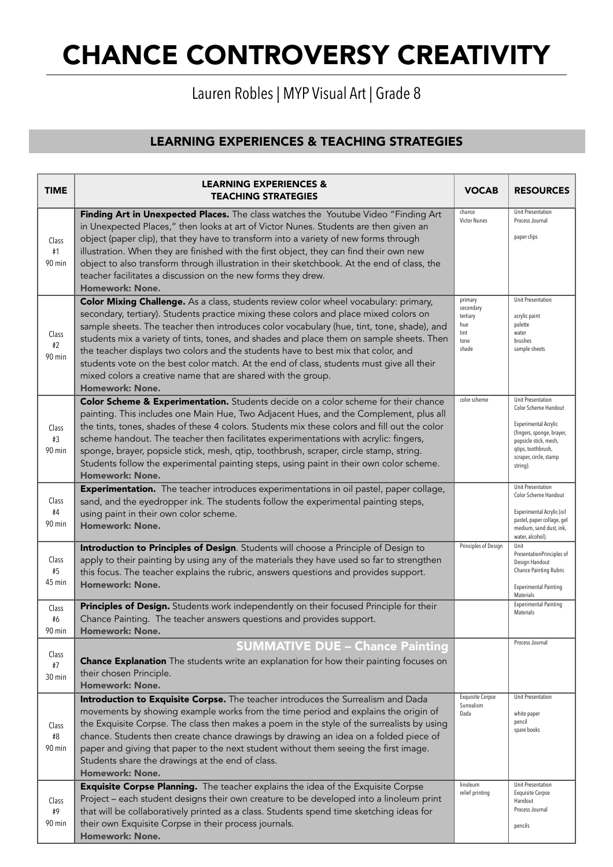## Lauren Robles | MYP Visual Art | Grade 8

## LEARNING EXPERIENCES & TEACHING STRATEGIES

| <b>TIME</b>           | <b>LEARNING EXPERIENCES &amp;</b><br><b>TEACHING STRATEGIES</b>                                                                                                                                                                                                                                                                                                                                                                                                                                                                                                                                                                            | <b>VOCAB</b>                                                     | <b>RESOURCES</b>                                                                                                                                                                    |
|-----------------------|--------------------------------------------------------------------------------------------------------------------------------------------------------------------------------------------------------------------------------------------------------------------------------------------------------------------------------------------------------------------------------------------------------------------------------------------------------------------------------------------------------------------------------------------------------------------------------------------------------------------------------------------|------------------------------------------------------------------|-------------------------------------------------------------------------------------------------------------------------------------------------------------------------------------|
| Class<br>#1<br>90 min | Finding Art in Unexpected Places. The class watches the Youtube Video "Finding Art<br>in Unexpected Places," then looks at art of Victor Nunes. Students are then given an<br>object (paper clip), that they have to transform into a variety of new forms through<br>illustration. When they are finished with the first object, they can find their own new<br>object to also transform through illustration in their sketchbook. At the end of class, the<br>teacher facilitates a discussion on the new forms they drew.<br><b>Homework: None.</b>                                                                                     | chance<br>Victor Nunes                                           | Unit Presentation<br>Process Journal<br>paper clips                                                                                                                                 |
| Class<br>#2<br>90 min | Color Mixing Challenge. As a class, students review color wheel vocabulary: primary,<br>secondary, tertiary). Students practice mixing these colors and place mixed colors on<br>sample sheets. The teacher then introduces color vocabulary (hue, tint, tone, shade), and<br>students mix a variety of tints, tones, and shades and place them on sample sheets. Then<br>the teacher displays two colors and the students have to best mix that color, and<br>students vote on the best color match. At the end of class, students must give all their<br>mixed colors a creative name that are shared with the group.<br>Homework: None. | primary<br>secondary<br>tertiary<br>hue<br>tint<br>tone<br>shade | Unit Presentation<br>acrylic paint<br>palette<br>water<br>brushes<br>sample sheets                                                                                                  |
| Class<br>#3<br>90 min | Color Scheme & Experimentation. Students decide on a color scheme for their chance<br>painting. This includes one Main Hue, Two Adjacent Hues, and the Complement, plus all<br>the tints, tones, shades of these 4 colors. Students mix these colors and fill out the color<br>scheme handout. The teacher then facilitates experimentations with acrylic: fingers,<br>sponge, brayer, popsicle stick, mesh, qtip, toothbrush, scraper, circle stamp, string.<br>Students follow the experimental painting steps, using paint in their own color scheme.<br><b>Homework: None.</b>                                                         | color scheme                                                     | Unit Presentation<br>Color Scheme Handout<br>Experimental Acrylic<br>(fingers, sponge, brayer,<br>popsicle stick, mesh,<br>qtips, toothbrush,<br>scraper, circle, stamp<br>string). |
| Class<br>#4<br>90 min | <b>Experimentation.</b> The teacher introduces experimentations in oil pastel, paper collage,<br>sand, and the eyedropper ink. The students follow the experimental painting steps,<br>using paint in their own color scheme.<br>Homework: None.                                                                                                                                                                                                                                                                                                                                                                                           |                                                                  | Unit Presentation<br>Color Scheme Handout<br>Experimental Acrylic (oil<br>pastel, paper collage, gel<br>medium, sand dust, ink,<br>water, alcohol).                                 |
| Class<br>#5<br>45 min | Introduction to Principles of Design. Students will choose a Principle of Design to<br>apply to their painting by using any of the materials they have used so far to strengthen<br>this focus. The teacher explains the rubric, answers questions and provides support.<br><b>Homework: None.</b>                                                                                                                                                                                                                                                                                                                                         |                                                                  | Unit<br>PresentationPrinciples of<br>Design Handout<br>Chance Painting Rubric<br><b>Experimental Painting</b><br>Materials                                                          |
| Class<br>#6<br>90 min | Principles of Design. Students work independently on their focused Principle for their<br>Chance Painting. The teacher answers questions and provides support.<br>Homework: None.                                                                                                                                                                                                                                                                                                                                                                                                                                                          |                                                                  | <b>Experimental Painting</b><br>Materials                                                                                                                                           |
| Class<br>#7<br>30 min | <b>SUMMATIVE DUE - Chance Painting</b><br><b>Chance Explanation</b> The students write an explanation for how their painting focuses on<br>their chosen Principle.<br><b>Homework: None.</b>                                                                                                                                                                                                                                                                                                                                                                                                                                               |                                                                  | Process Journal                                                                                                                                                                     |
| Class<br>#8<br>90 min | Introduction to Exquisite Corpse. The teacher introduces the Surrealism and Dada<br>movements by showing example works from the time period and explains the origin of<br>the Exquisite Corpse. The class then makes a poem in the style of the surrealists by using<br>chance. Students then create chance drawings by drawing an idea on a folded piece of<br>paper and giving that paper to the next student without them seeing the first image.<br>Students share the drawings at the end of class.<br><b>Homework: None.</b>                                                                                                         | <b>Exquisite Corpse</b><br>Surrealism<br>Dada                    | Unit Presentation<br>white paper<br>pencil<br>spare books                                                                                                                           |
| Class<br>#9<br>90 min | Exquisite Corpse Planning. The teacher explains the idea of the Exquisite Corpse<br>Project - each student designs their own creature to be developed into a linoleum print<br>that will be collaboratively printed as a class. Students spend time sketching ideas for<br>their own Exquisite Corpse in their process journals.<br>Homework: None.                                                                                                                                                                                                                                                                                        | linoleum<br>relief printing                                      | Unit Presentation<br><b>Exquisite Corpse</b><br>Handout<br>Process Journal<br>pencils                                                                                               |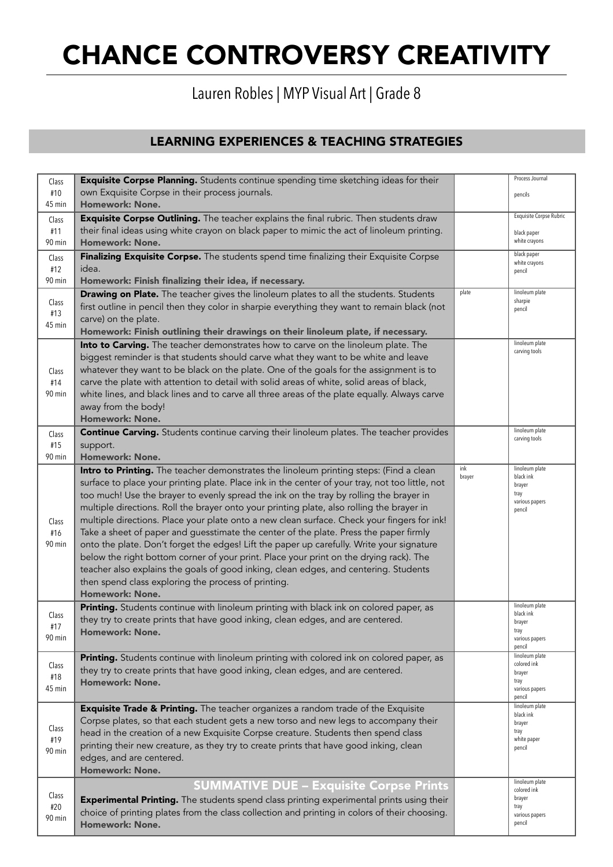## Lauren Robles | MYP Visual Art | Grade 8

## LEARNING EXPERIENCES & TEACHING STRATEGIES

| Class         | Exquisite Corpse Planning. Students continue spending time sketching ideas for their            |        | Process Journal                |
|---------------|-------------------------------------------------------------------------------------------------|--------|--------------------------------|
| #10           | own Exquisite Corpse in their process journals.                                                 |        | pencils                        |
| 45 min        | <b>Homework: None.</b>                                                                          |        |                                |
| Class         | Exquisite Corpse Outlining. The teacher explains the final rubric. Then students draw           |        | <b>Exquisite Corpse Rubric</b> |
| #11           | their final ideas using white crayon on black paper to mimic the act of linoleum printing.      |        | black paper                    |
| 90 min        | <b>Homework: None.</b>                                                                          |        | white crayons                  |
| Class         | Finalizing Exquisite Corpse. The students spend time finalizing their Exquisite Corpse          |        | black paper                    |
| #12           | idea.                                                                                           |        | white crayons<br>pencil        |
| 90 min        | Homework: Finish finalizing their idea, if necessary.                                           |        |                                |
|               | Drawing on Plate. The teacher gives the linoleum plates to all the students. Students           | plate  | linoleum plate                 |
| Class         | first outline in pencil then they color in sharpie everything they want to remain black (not    |        | sharpie<br>pencil              |
| #13           | carve) on the plate.                                                                            |        |                                |
| 45 min        | Homework: Finish outlining their drawings on their linoleum plate, if necessary.                |        |                                |
|               | Into to Carving. The teacher demonstrates how to carve on the linoleum plate. The               |        | linoleum plate                 |
|               | biggest reminder is that students should carve what they want to be white and leave             |        | carving tools                  |
| Class         | whatever they want to be black on the plate. One of the goals for the assignment is to          |        |                                |
| #14           | carve the plate with attention to detail with solid areas of white, solid areas of black,       |        |                                |
| 90 min        | white lines, and black lines and to carve all three areas of the plate equally. Always carve    |        |                                |
|               | away from the body!                                                                             |        |                                |
|               | Homework: None.                                                                                 |        |                                |
| Class         | <b>Continue Carving.</b> Students continue carving their linoleum plates. The teacher provides  |        | linoleum plate                 |
| #15           | support.                                                                                        |        | carving tools                  |
| 90 min        | <b>Homework: None.</b>                                                                          |        |                                |
|               | Intro to Printing. The teacher demonstrates the linoleum printing steps: (Find a clean          | ink    | linoleum plate                 |
|               | surface to place your printing plate. Place ink in the center of your tray, not too little, not | brayer | black ink<br>brayer            |
|               | too much! Use the brayer to evenly spread the ink on the tray by rolling the brayer in          |        | tray                           |
|               | multiple directions. Roll the brayer onto your printing plate, also rolling the brayer in       |        | various papers<br>pencil       |
| Class         | multiple directions. Place your plate onto a new clean surface. Check your fingers for ink!     |        |                                |
| #16           | Take a sheet of paper and guesstimate the center of the plate. Press the paper firmly           |        |                                |
| 90 min        | onto the plate. Don't forget the edges! Lift the paper up carefully. Write your signature       |        |                                |
|               | below the right bottom corner of your print. Place your print on the drying rack). The          |        |                                |
|               | teacher also explains the goals of good inking, clean edges, and centering. Students            |        |                                |
|               | then spend class exploring the process of printing.                                             |        |                                |
|               | <b>Homework: None.</b>                                                                          |        |                                |
|               | Printing. Students continue with linoleum printing with black ink on colored paper, as          |        | linoleum plate                 |
| Class         | they try to create prints that have good inking, clean edges, and are centered.                 |        | black ink<br>brayer            |
| #17<br>90 min | Homework: None.                                                                                 |        | tray                           |
|               |                                                                                                 |        | various papers<br>pencil       |
|               | Printing. Students continue with linoleum printing with colored ink on colored paper, as        |        | linoleum plate<br>colored ink  |
| Class<br>#18  | they try to create prints that have good inking, clean edges, and are centered.                 |        | brayer                         |
| 45 min        | Homework: None.                                                                                 |        | tray<br>various papers         |
|               |                                                                                                 |        | pencil                         |
|               | Exquisite Trade & Printing. The teacher organizes a random trade of the Exquisite               |        | linoleum plate<br>black ink    |
|               | Corpse plates, so that each student gets a new torso and new legs to accompany their            |        | brayer                         |
| Class<br>#19  | head in the creation of a new Exquisite Corpse creature. Students then spend class              |        | tray<br>white paper            |
| 90 min        | printing their new creature, as they try to create prints that have good inking, clean          |        | pencil                         |
|               | edges, and are centered.                                                                        |        |                                |
|               | <b>Homework: None.</b>                                                                          |        |                                |
|               | <b>SUMMATIVE DUE - Exquisite Corpse Prints</b>                                                  |        | linoleum plate<br>colored ink  |
| Class         | Experimental Printing. The students spend class printing experimental prints using their        |        | brayer                         |
| #20           | choice of printing plates from the class collection and printing in colors of their choosing.   |        | tray<br>various papers         |
| 90 min        | <b>Homework: None.</b>                                                                          |        | pencil                         |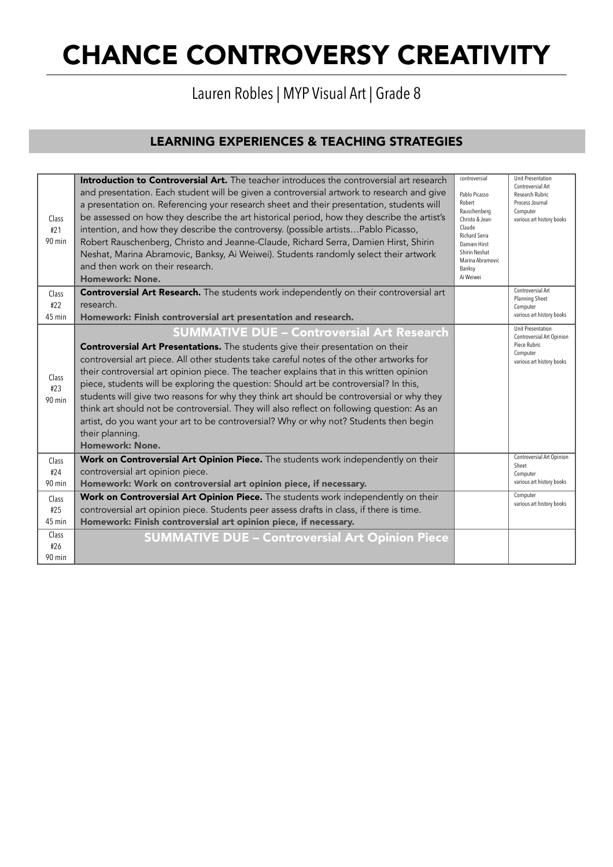## Lauren Robles | MYP Visual Art | Grade 8

## LEARNING EXPERIENCES & TEACHING STRATEGIES

| Class<br>#21<br>90 min   | <b>Introduction to Controversial Art.</b> The teacher introduces the controversial art research<br>and presentation. Each student will be given a controversial artwork to research and give<br>a presentation on. Referencing your research sheet and their presentation, students will<br>be assessed on how they describe the art historical period, how they describe the artist's<br>intention, and how they describe the controversy. (possible artistsPablo Picasso,<br>Robert Rauschenberg, Christo and Jeanne-Claude, Richard Serra, Damien Hirst, Shirin<br>Neshat, Marina Abramovic, Banksy, Ai Weiwei). Students randomly select their artwork<br>and then work on their research.<br>Homework: None.                              | controversial<br>Pablo Picasso<br>Robert<br>Rauschenberg<br>Christo & Jean-<br>Claude<br><b>Richard Serra</b><br>Damien Hirst<br>Shirin Neshat<br>Marina Abramovic<br>Banksy<br>Ai Weiwei | <b>Unit Presentation</b><br>Controversial Art<br>Research Rubric<br>Process Journal<br>Computer<br>various art history books |
|--------------------------|------------------------------------------------------------------------------------------------------------------------------------------------------------------------------------------------------------------------------------------------------------------------------------------------------------------------------------------------------------------------------------------------------------------------------------------------------------------------------------------------------------------------------------------------------------------------------------------------------------------------------------------------------------------------------------------------------------------------------------------------|-------------------------------------------------------------------------------------------------------------------------------------------------------------------------------------------|------------------------------------------------------------------------------------------------------------------------------|
| Class<br>#22             | <b>Controversial Art Research.</b> The students work independently on their controversial art<br>research.                                                                                                                                                                                                                                                                                                                                                                                                                                                                                                                                                                                                                                     |                                                                                                                                                                                           | Controversial Art<br>Planning Sheet                                                                                          |
| 45 min                   | Homework: Finish controversial art presentation and research.                                                                                                                                                                                                                                                                                                                                                                                                                                                                                                                                                                                                                                                                                  |                                                                                                                                                                                           | Computer<br>various art history books                                                                                        |
| Class<br>#23<br>90 min   | <b>SUMMATIVE DUE - Controversial Art Research</b><br>Controversial Art Presentations. The students give their presentation on their<br>controversial art piece. All other students take careful notes of the other artworks for<br>their controversial art opinion piece. The teacher explains that in this written opinion<br>piece, students will be exploring the question: Should art be controversial? In this,<br>students will give two reasons for why they think art should be controversial or why they<br>think art should not be controversial. They will also reflect on following question: As an<br>artist, do you want your art to be controversial? Why or why not? Students then begin<br>their planning.<br>Homework: None. |                                                                                                                                                                                           | <b>Unit Presentation</b><br>Controversial Art Opinion<br>Piece Rubric<br>Computer<br>various art history books               |
| Class<br>#24             | Work on Controversial Art Opinion Piece. The students work independently on their<br>controversial art opinion piece.                                                                                                                                                                                                                                                                                                                                                                                                                                                                                                                                                                                                                          |                                                                                                                                                                                           | Controversial Art Opinion<br>Sheet                                                                                           |
| 90 min                   | Homework: Work on controversial art opinion piece, if necessary.                                                                                                                                                                                                                                                                                                                                                                                                                                                                                                                                                                                                                                                                               |                                                                                                                                                                                           | Computer<br>various art history books                                                                                        |
| Class                    | Work on Controversial Art Opinion Piece. The students work independently on their                                                                                                                                                                                                                                                                                                                                                                                                                                                                                                                                                                                                                                                              |                                                                                                                                                                                           | Computer<br>various art history books                                                                                        |
| #25<br>45 min            | controversial art opinion piece. Students peer assess drafts in class, if there is time.<br>Homework: Finish controversial art opinion piece, if necessary.                                                                                                                                                                                                                                                                                                                                                                                                                                                                                                                                                                                    |                                                                                                                                                                                           |                                                                                                                              |
| Class<br>#26<br>$90$ min | <b>SUMMATIVE DUE - Controversial Art Opinion Piece</b>                                                                                                                                                                                                                                                                                                                                                                                                                                                                                                                                                                                                                                                                                         |                                                                                                                                                                                           |                                                                                                                              |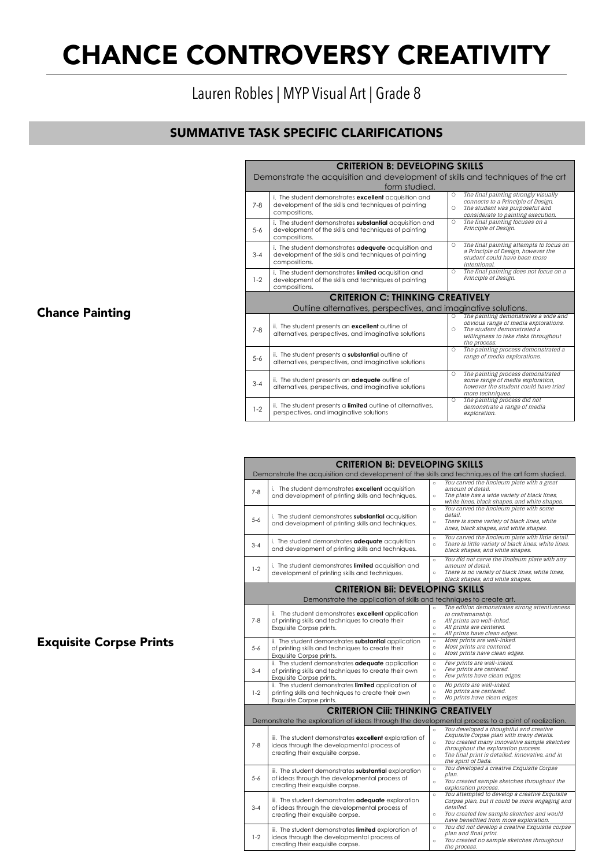Lauren Robles | MYP Visual Art | Grade 8

## SUMMATIVE TASK SPECIFIC CLARIFICATIONS

| <b>CRITERION B: DEVELOPING SKILLS</b><br>Demonstrate the acquisition and development of skills and techniques of the art<br>form studied. |                                                                                                                                      |              |                                                                                                                                                                    |
|-------------------------------------------------------------------------------------------------------------------------------------------|--------------------------------------------------------------------------------------------------------------------------------------|--------------|--------------------------------------------------------------------------------------------------------------------------------------------------------------------|
| $7 - 8$                                                                                                                                   | i. The student demonstrates excellent acquisition and<br>development of the skills and techniques of painting<br>compositions.       | Ο<br>0.      | The final painting strongly visually<br>connects to a Principle of Design.<br>The student was purposeful and<br>considerate to painting execution.                 |
| $5 - 6$                                                                                                                                   | i. The student demonstrates substantial acquisition and<br>development of the skills and techniques of painting<br>compositions.     | Ō            | The final painting focuses on a<br>Principle of Design.                                                                                                            |
| $3 - 4$                                                                                                                                   | i. The student demonstrates <b>adequate</b> acquisition and<br>development of the skills and techniques of painting<br>compositions. | 0.           | The final painting attempts to focus on<br>a Principle of Design, however the<br>student could have been more<br><i>intentional.</i>                               |
| $1-2$                                                                                                                                     | i. The student demonstrates limited acquisition and<br>development of the skills and techniques of painting<br>compositions.         | 0.           | The final painting does not focus on a<br>Principle of Design.                                                                                                     |
| <b>CRITERION C: THINKING CREATIVELY</b><br>Outline alternatives, perspectives, and imaginative solutions.                                 |                                                                                                                                      |              |                                                                                                                                                                    |
| $7 - 8$                                                                                                                                   | ii. The student presents an <b>excellent</b> outline of<br>alternatives, perspectives, and imaginative solutions                     | Ω.<br>$\cap$ | The painting demonstrates a wide and<br>obvious range of media explorations.<br>The student demonstrated a<br>willingness to take risks throughout<br>the process. |
| $5 - 6$                                                                                                                                   | ii. The student presents a <b>substantial</b> outline of<br>alternatives, perspectives, and imaginative solutions                    | Ω            | The painting process demonstrated a<br>range of media explorations.                                                                                                |
| $3 - 4$                                                                                                                                   | ii. The student presents an <b>adequate</b> outline of<br>alternatives, perspectives, and imaginative solutions                      | 0            | The painting process demonstrated<br>some range of media exploration,<br>however the student could have tried<br>more techniques.                                  |
| $1-2$                                                                                                                                     | ii. The student presents a <b>limited</b> outline of alternatives,<br>perspectives, and imaginative solutions                        | 0.           | The painting process did not<br>demonstrate a range of media<br>exploration.                                                                                       |

MYP CRITERION RUBRIC

| <b>CRITERION BI: DEVELOPING SKILLS</b> |                                                                                                                                            |                               |                                                                                                                                                                                                                                                     |  |
|----------------------------------------|--------------------------------------------------------------------------------------------------------------------------------------------|-------------------------------|-----------------------------------------------------------------------------------------------------------------------------------------------------------------------------------------------------------------------------------------------------|--|
|                                        | Demonstrate the acquisition and development of the skills and techniques of the art form studied.                                          |                               |                                                                                                                                                                                                                                                     |  |
| $7 - 8$                                | i. The student demonstrates excellent acquisition<br>and development of printing skills and techniques.                                    | $\circ$<br>$\circ$            | You carved the linoleum plate with a great<br>amount of detail.<br>The plate has a wide variety of black lines,<br>white lines, black shapes, and white shapes.                                                                                     |  |
| $5 - 6$                                | i. The student demonstrates substantial acquisition<br>and development of printing skills and techniques.                                  | $\circ$<br>$\circ$            | You carved the linoleum plate with some<br>detail.<br>There is some variety of black lines, white<br>lines, black shapes, and white shapes.                                                                                                         |  |
| $3 - 4$                                | i. The student demonstrates <b>adequate</b> acquisition<br>and development of printing skills and techniques.                              | $\circ$<br>$\circ$            | You carved the linoleum plate with little detail.<br>There is little variety of black lines, white lines,<br>black shapes, and white shapes.                                                                                                        |  |
| $1 - 2$                                | i. The student demonstrates limited acquisition and<br>development of printing skills and techniques.                                      | $\circ$<br>$\circ$            | You did not carve the linoleum plate with any<br>amount of detail.<br>There is no variety of black lines, white lines,<br>black shapes, and white shapes.                                                                                           |  |
|                                        | <b>CRITERION BII: DEVELOPING SKILLS</b>                                                                                                    |                               |                                                                                                                                                                                                                                                     |  |
|                                        | Demonstrate the application of skills and techniques to create art.                                                                        | $\circ$                       | The edition demonstrates strong attentiveness                                                                                                                                                                                                       |  |
| $7 - 8$                                | ii. The student demonstrates excellent application<br>of printing skills and techniques to create their<br>Exquisite Corpse prints.        | $\circ$<br>$\circ$<br>$\circ$ | to craftsmanship.<br>All prints are well-inked.<br>All prints are centered.<br>All prints have clean edges.                                                                                                                                         |  |
| $5 - 6$                                | ii. The student demonstrates substantial application<br>of printing skills and techniques to create their<br>Exquisite Corpse prints.      | $\circ$<br>$\circ$<br>$\circ$ | Most prints are well-inked.<br>Most prints are centered.<br>Most prints have clean edges.                                                                                                                                                           |  |
| $3 - 4$                                | ii. The student demonstrates adequate application<br>of printing skills and techniques to create their own<br>Exquisite Corpse prints.     | $\circ$<br>$\circ$<br>$\circ$ | Few prints are well-inked.<br>Few prints are centered.<br>Few prints have clean edges.                                                                                                                                                              |  |
| $1-2$                                  | ii. The student demonstrates limited application of<br>printing skills and techniques to create their own<br>Exquisite Corpse prints.      | $\circ$<br>$\circ$<br>$\circ$ | No prints are well-inked.<br>No prints are centered.<br>No prints have clean edges.                                                                                                                                                                 |  |
|                                        | <b>CRITERION CIII: THINKING CREATIVELY</b>                                                                                                 |                               |                                                                                                                                                                                                                                                     |  |
|                                        | Demonstrate the exploration of ideas through the developmental process to a point of realization.                                          |                               |                                                                                                                                                                                                                                                     |  |
| $7 - 8$                                | iii. The student demonstrates excellent exploration of<br>ideas through the developmental process of<br>creating their exquisite corpse.   | $\circ$<br>$\circ$<br>$\circ$ | You developed a thoughtful and creative<br>Exquisite Corpse plan with many details.<br>You created many innovative sample sketches<br>throughout the exploration process.<br>The final print is detailed, innovative, and in<br>the spirit of Dada. |  |
| $5 - 6$                                | iii. The student demonstrates substantial exploration<br>of ideas through the developmental process of<br>creating their exquisite corpse. | $\circ$<br>$\circ$            | You developed a creative Exquisite Corpse<br>plan.<br>You created sample sketches throughout the<br>exploration process.                                                                                                                            |  |
| $3 - 4$                                | iii. The student demonstrates adequate exploration<br>of ideas through the developmental process of<br>creating their exquisite corpse.    | $\circ$<br>$\circ$            | You attempted to develop a creative Exquisite<br>Corpse plan, but it could be more engaging and<br>detailed.<br>You created few sample sketches and would<br>have benefitted from more exploration.                                                 |  |
| $1-2$                                  | iii. The student demonstrates limited exploration of<br>ideas through the developmental process of<br>creating their exquisite corpse.     | $\circ$<br>$\circ$            | You did not develop a creative Exquisite corpse<br>plan and final print.<br>You created no sample sketches throughout<br>the process.                                                                                                               |  |

### Chance Painting

### Exquisite Corpse Prints